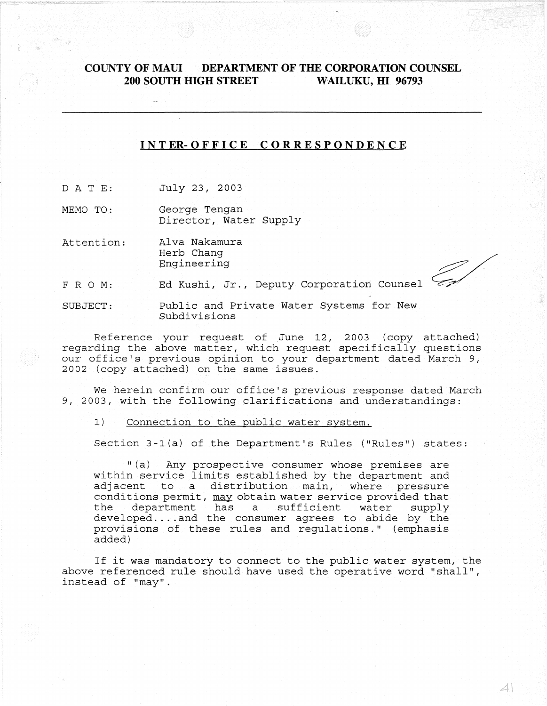# **COUNTY OF MAUl DEPARTMENT OF THE CORPORATION COUNSEL 200 SOUTH mGH STREET WAILUKU, m 96793**

# I N **T ER- 0 F F ICE COR RES P 0 N DEN C E**

D ATE: July 23, 2003

MEMO TO: George Tengan Director, Water Supply

Attention: Alva Nakamura Herb Chang Engineering

FRO M: Ed Kushi, Jr., Deputy Corporation Counsel

SUBJECT: Public and Private Water Systems for New Subdivisions

Reference your request of June 12, 2003 (copy attached) regarding the above matter, which request specifically questions our office's previous opinion to your department dated March 9, 2002 (copy attached) on the same issues.

We herein confirm our office's previous response dated March 9, 2003, with the following clarifications and understandings:

1) Connection to the public water system.

Section 3-1(a) of the Department's Rules ("Rules") states:

"(a) Any prospective consumer whose premises are within service limits established by the department and adjacent to a distribution main, where pressure conditions permit, may obtain water service provided that<br>the department has a sufficient water supply department has a sufficient water supply developed.... and the consumer agrees to abide by the provisions of these rules and regulations." (emphasis added)

If it was mandatory to connect to the public water system, the above referenced rule should have used the operative word "shall", instead of "may".

 $\mathcal{A} \mathcal{N}$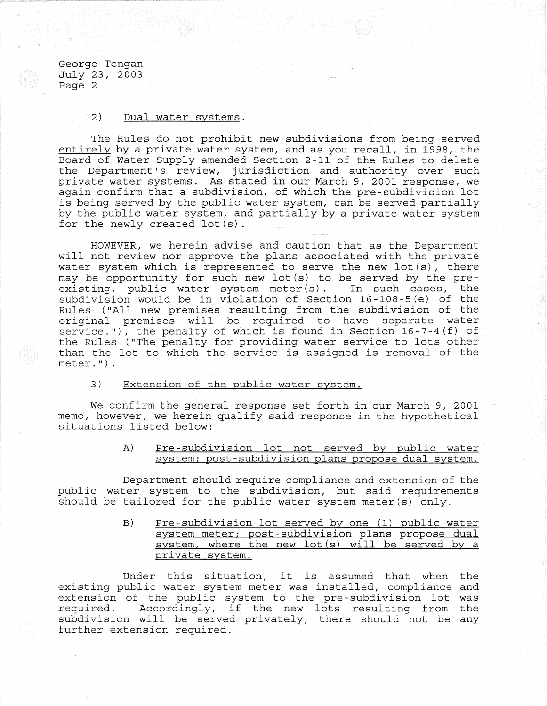George Tengan July 23, 2003 Page 2

## 2) Dual water systems.

The Rules do not prohibit new subdivisions from being served entirely by a private water system, and as you recall, in 1998, the Board of Water Supply amended Section 2-11 of the Rules to delete the Department's review, jurisdiction and authority over such private water systems. As stated in our March 9, 2001 response, we again confirm that a subdivision, of which the pre-subdivision lot is being served by the public water system, can be served partially by the public water system, and partially by a private water system for the newly created lot(s).

HOWEVER, we herein advise and caution that as the Department will not review nor approve the plans associated with the private water system which is represented to serve the new lot(s), there may be opportunity for such new lot(s) to be served by the preexisting, public water system meter(s). In such cases, the subdivision would be in violation of Section 16-108-5(e) of the Rules ("All new premises resulting from the subdivision of the original premises will be required to have separate water service."), the penalty of which is found in Section  $16-7-4(f)$  of the Rules ("The penalty for providing water service to lots other than the lot to which the service is assigned is removal of the  $meter.$   $\mathbb{I})$ .

# 3) Extension of the public water system.

We confirm the general response set forth in our March 9, 2001 memo, however, we herein qualify said response in the hypothetical situations listed below:

> A) Pre-subdivision lot not served by public water system; post-subdivision plans propose dual system.

Department should require compliance and extension of the public water system to the subdivision, but said requirements should be tailored for the public water system meter(s) only.

> B) Pre-subdivision lot served by one (1) public water system meter; post-subdivision plans propose dual system, where the new lot (s) will be served by a private system.

Under this situation, it is assumed that when the existing public water system meter was installed, compliance and extension of the public system to the pre-subdivision lot was<br>required. Accordingly, if the new lots resulting from the Accordingly, if the new lots resulting from the subdivision will be served privately, there should not be any further extension required.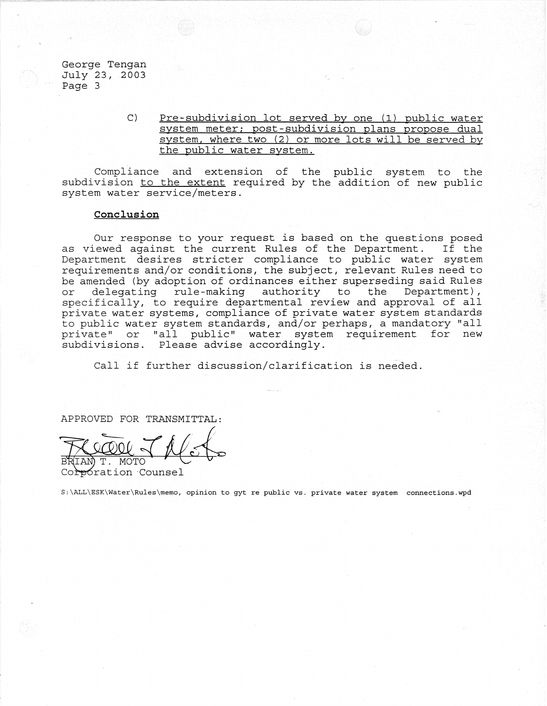George Tengan July 23, 2003 Page 3

> C) Pre~subdivision lot served by one (1) public water system meter; post-subdivision plans propose dual system, where two (2) or more lots will be served by the public water system.

Compliance and extension of the public system to the subdivision to the extent required by the addition of new public system water service/meters.

# **Conclusion**

Our response to your request is based on the questions posed as viewed against the current Rules of the Department. If the Department desires stricter compliance to public water system requirements and/or conditions, the subject, relevant Rules need to be amended (by adoption of ordinances either superseding said Rules<br>or delegating rule-making authority to the Department), delegating rule-making authority to the Department), specifically, to require departmental review and approval of all private water systems, compliance-of private water system standards to public water system standards, and/or perhaps, a mandatory "ail private" or "all public" water system requirement for new subdivisions. Please advise accordingly.

Call if further discussion/clarification is needed.

APPROVED FOR TRANSMITTAL:

MOTC

<del>p</del>oration Counsel

S:\ALL\ESK\Water\Rules\memo, opinion to gyt re public vs. private water system connections.wpd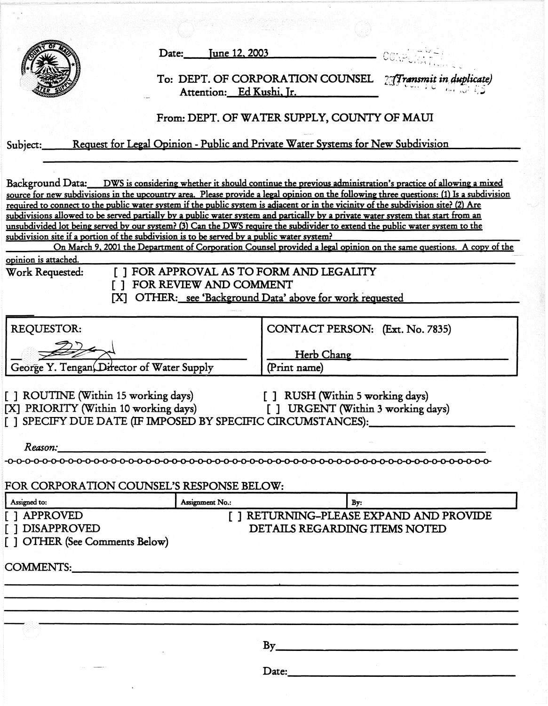|                                                                               | <u>June 12, 2003</u><br>Date:                                                                                                                                                                                                                                                                                                                                                                           |                                                                                        |                                                                                                                                          |
|-------------------------------------------------------------------------------|---------------------------------------------------------------------------------------------------------------------------------------------------------------------------------------------------------------------------------------------------------------------------------------------------------------------------------------------------------------------------------------------------------|----------------------------------------------------------------------------------------|------------------------------------------------------------------------------------------------------------------------------------------|
|                                                                               |                                                                                                                                                                                                                                                                                                                                                                                                         | To: DEPT. OF CORPORATION COUNSEL 27 Transmit in duplicate)<br>Attention: Ed Kushi, Ir. |                                                                                                                                          |
|                                                                               |                                                                                                                                                                                                                                                                                                                                                                                                         | From: DEPT. OF WATER SUPPLY, COUNTY OF MAUI                                            |                                                                                                                                          |
| Subject:                                                                      | <u>Request for Legal Opinion - Public and Private Water Systems for New Subdivision</u>                                                                                                                                                                                                                                                                                                                 |                                                                                        |                                                                                                                                          |
|                                                                               | Background Data: DWS is considering whether it should continue the previous administration's practice of allowing a mixed                                                                                                                                                                                                                                                                               |                                                                                        |                                                                                                                                          |
|                                                                               | required to connect to the public water system if the public system is adjacent or in the vicinity of the subdivision site? (2) Are<br>subdivisions allowed to be served partially by a public water system and partically by a private water system that start from an<br>unsubdivided lot being served by our system? (3) Can the DWS require the subdivider to extend the public water system to the |                                                                                        | source for new subdivisions in the upcountry area. Please provide a legal opinion on the following three questions: (1) Is a subdivision |
|                                                                               | subdivision site if a portion of the subdivision is to be served by a public water system?                                                                                                                                                                                                                                                                                                              |                                                                                        | On March 9, 2001 the Department of Corporation Counsel provided a legal opinion on the same questions. A copy of the                     |
| opinion is attached.                                                          |                                                                                                                                                                                                                                                                                                                                                                                                         |                                                                                        |                                                                                                                                          |
| Work Requested:<br>IXI.                                                       | [ ] FOR APPROVAL AS TO FORM AND LEGALITY<br>[ ] FOR REVIEW AND COMMENT<br>OTHER: see 'Background Data' above for work requested                                                                                                                                                                                                                                                                         |                                                                                        |                                                                                                                                          |
| REQUESTOR:                                                                    |                                                                                                                                                                                                                                                                                                                                                                                                         |                                                                                        |                                                                                                                                          |
|                                                                               |                                                                                                                                                                                                                                                                                                                                                                                                         | CONTACT PERSON: (Ext. No. 7835)                                                        |                                                                                                                                          |
| George Y. Tengan, Director of Water Supply                                    |                                                                                                                                                                                                                                                                                                                                                                                                         | <b>Herb Chang</b><br>(Print name)                                                      |                                                                                                                                          |
|                                                                               |                                                                                                                                                                                                                                                                                                                                                                                                         |                                                                                        |                                                                                                                                          |
| [ ] ROUTINE (Within 15 working days)<br>[X] PRIORITY (Within 10 working days) | [ ] SPECIFY DUE DATE (IF IMPOSED BY SPECIFIC CIRCUMSTANCES):                                                                                                                                                                                                                                                                                                                                            | [ ] RUSH (Within 5 working days)<br>[ ] URGENT (Within 3 working days)                 |                                                                                                                                          |
|                                                                               |                                                                                                                                                                                                                                                                                                                                                                                                         |                                                                                        |                                                                                                                                          |
|                                                                               | Reason:                                                                                                                                                                                                                                                                                                                                                                                                 |                                                                                        |                                                                                                                                          |
|                                                                               | FOR CORPORATION COUNSEL'S RESPONSE BELOW:                                                                                                                                                                                                                                                                                                                                                               |                                                                                        |                                                                                                                                          |
|                                                                               |                                                                                                                                                                                                                                                                                                                                                                                                         |                                                                                        |                                                                                                                                          |
| Assigned to:<br>I 1 APPROVED                                                  | Assignment No.:                                                                                                                                                                                                                                                                                                                                                                                         | By:                                                                                    | [ ] RETURNING-PLEASE EXPAND AND PROVIDE                                                                                                  |
| <b>I 1 DISAPPROVED</b>                                                        |                                                                                                                                                                                                                                                                                                                                                                                                         | DETAILS REGARDING ITEMS NOTED                                                          |                                                                                                                                          |
| [ ] OTHER (See Comments Below)                                                |                                                                                                                                                                                                                                                                                                                                                                                                         |                                                                                        |                                                                                                                                          |
|                                                                               |                                                                                                                                                                                                                                                                                                                                                                                                         |                                                                                        |                                                                                                                                          |
|                                                                               |                                                                                                                                                                                                                                                                                                                                                                                                         |                                                                                        |                                                                                                                                          |
|                                                                               |                                                                                                                                                                                                                                                                                                                                                                                                         |                                                                                        |                                                                                                                                          |
|                                                                               |                                                                                                                                                                                                                                                                                                                                                                                                         |                                                                                        |                                                                                                                                          |
|                                                                               |                                                                                                                                                                                                                                                                                                                                                                                                         |                                                                                        |                                                                                                                                          |
|                                                                               |                                                                                                                                                                                                                                                                                                                                                                                                         | By                                                                                     | <u> 1980 - Andrea Andrewski, amerikan bisantista (h. 1980).</u>                                                                          |
|                                                                               |                                                                                                                                                                                                                                                                                                                                                                                                         | Date:                                                                                  |                                                                                                                                          |
|                                                                               |                                                                                                                                                                                                                                                                                                                                                                                                         |                                                                                        |                                                                                                                                          |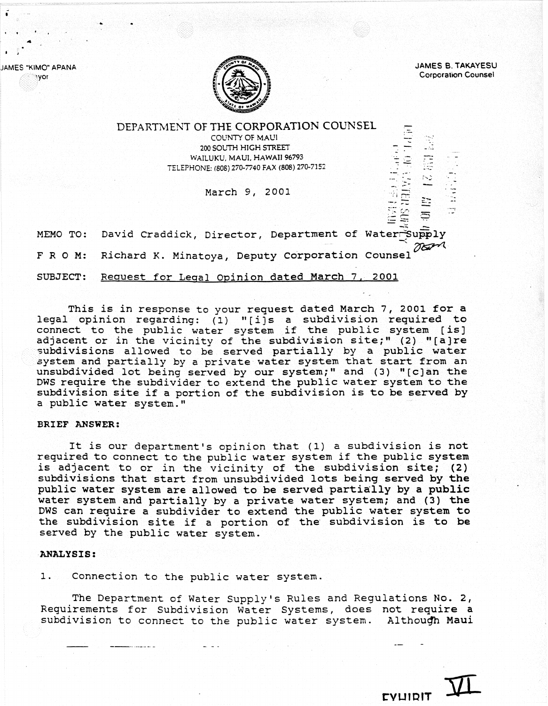JAMES "KIMO" APANA JAMES B. TAKAYESU Corporation Counsel



**Nyor** 

 $\mathfrak{f}$   $\mathfrak{f}$ 

#### DEPARTMENT OF THE CORPORAT10N COUNSEL COUNTY OF MAUl --. ." 200 SOUTH HIGH STREET WAILUKU, MAUl. HAWAII 96793 ..... - ..... - TELEPHONE: (80S) 270-7740 FAX (808) 270-7152 "'-.. -- " " -...<br>-... : ...<br>-... ... March 9, 2001 ÷  $\div$ MEMO TO: David Craddick, Director, Department of Water~Supply  $-$  man Richard K. Minatoya, Deputy Corporation Counsel FRO M:

SUBJECT: Request for Legal opinion dated March 7, 2001

This *is in* response to your request dated March 7, 2001 for a legal opinion regarding: (1) *"[i)s* a subdivision required to regar opinion regarding. (1) [1]s a sabdivision regarded connect to the public water system if the public system [is] adjacent or in the vicinity of the subdivision site;" (2) "[a]re<br>subdivisions allowed to be served partially by a public water system and partially by a private water system that start from an unsubdivided lot being served by our system;" and (3) "[c]an the DWS require the subdivider to extend the public water system to the subdivision site if a portion of the subdivision is to be served by a public water system."

### BRIEF ANSWER:

It is our department's opinion that (1) a subdivision is not required to connect to the public water system if the public system is adjacent to or *in* the vicinity of the subdivision site; (2) subdivisions that start from unsubdivided lots being served by the public water system are allowed to be served partially by a public water system and partially by a private water system; and (3) the DWS can require a SUbdivider to extend the public water system to the subdivision site if a portion of the" subdivision *is* to be served by the public water system.

### **ANALYSIS:**

1. Connection to the public water system.

The Department of Water Supply's Rules and Regulations No. 2, Requirements for Subdivision Water Systems, does not require a subdivision to connect to the public water system. Although Maui

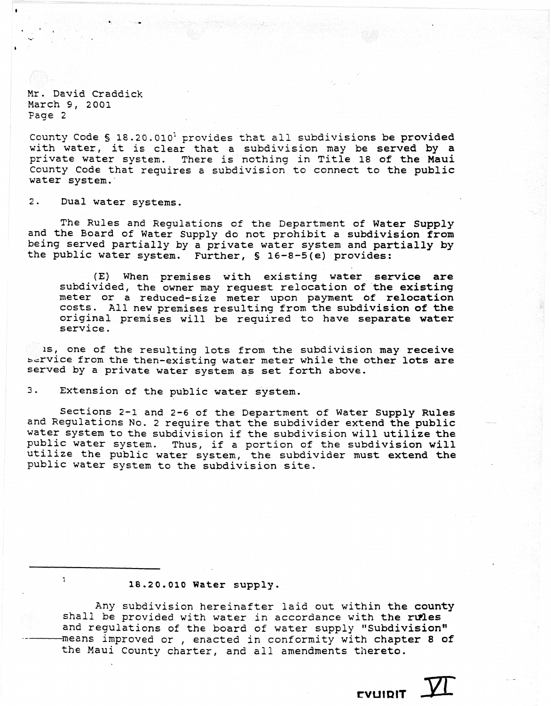Mr. David Craddick March 9, 2001 Page 2

County Code § 18.20.010<sup>1</sup> provides that all subdivisions be provided councy code s is 20.010 provides that all subdivisions be provided<br>with water, it is clear that a subdivision may be served by a private water system. There is nothing in Title 18 of the Maui County Code that requires a subdivision to connect to the public water system.·

2. Dual water systems.

 $\mathbf 1$ 

The Rules and Regulations of the Department of Water Supply and the Board of Water Supply do not prohibit a subdivision from being served partially by a private water system and partially by the public water system. Further, § 16-8-5(e) provides:

(E) When premises with existing water service are subdivided, the owner may request relocation of the existing meter or a reduced-size meter upon payment of relocation costs. All new premises resulting from the subdivision of the original premises will be required to have separate water service.

is, one of the resulting lots from the subdivision may receive Service from the then-existing water meter while the other lots are served by a private water system as set forth above.

3. Extension of the public water system.

Sections 2-1 and 2-6 of the Department of Water Supply Rules and Regulations No. 2 require that the subdivider extend the public water system to the subdivision if the subdivision will utilize the public water system. Thus, if a portion of the subdivision will utilize the public water system, the subdivider must extend the public water system to the subdivision site.

### 18.20.010 Water supply.

Any subdivision hereinafter laid out within the county shall be provided with water in accordance with the rules and regulations of the board of water supply "Subdivision" means improved or , enacted in conformity with chapter 8 of the Maui County charter, and all amendments thereto.

EVUIDIT VI